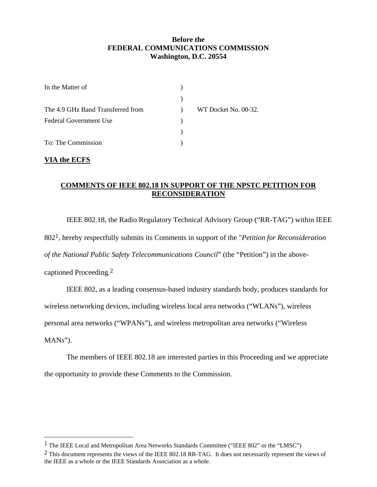## **Before the FEDERAL COMMUNICATIONS COMMISSION Washington, D.C. 20554**

| In the Matter of                  |                      |
|-----------------------------------|----------------------|
|                                   |                      |
| The 4.9 GHz Band Transferred from | WT Docket No. 00-32. |
| Federal Government Use            |                      |
|                                   |                      |
| To: The Commission                |                      |

## **VIA the ECFS**

l

## **COMMENTS OF IEEE 802.18 IN SUPPORT OF THE NPSTC PETITION FOR RECONSIDERATION**

IEEE 802.18, the Radio Regulatory Technical Advisory Group ("RR-TAG") within IEEE 802[1,](#page-0-0) hereby respectfully submits its Comments in support of the "*Petition for Reconsideration of the National Public Safety Telecommunications Council*" (the "Petition") in the abovecaptioned Proceeding[.2](#page-0-1) 

IEEE 802, as a leading consensus-based industry standards body, produces standards for wireless networking devices, including wireless local area networks ("WLANs"), wireless personal area networks ("WPANs"), and wireless metropolitan area networks ("Wireless MANs").

The members of IEEE 802.18 are interested parties in this Proceeding and we appreciate the opportunity to provide these Comments to the Commission.

<span id="page-0-0"></span><sup>1</sup> The IEEE Local and Metropolitan Area Networks Standards Committee ("IEEE 802" or the "LMSC")

<span id="page-0-1"></span><sup>&</sup>lt;sup>2</sup> This document represents the views of the IEEE 802.18 RR-TAG. It does not necessarily represent the views of the IEEE as a whole or the IEEE Standards Association as a whole.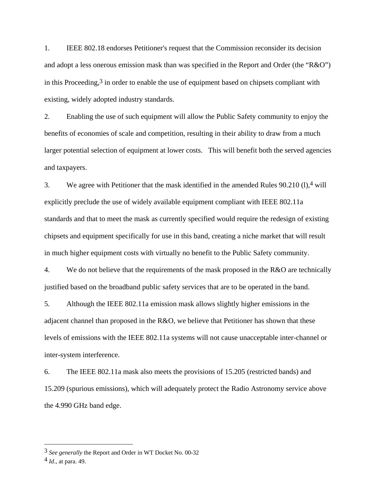1. IEEE 802.18 endorses Petitioner's request that the Commission reconsider its decision and adopt a less onerous emission mask than was specified in the Report and Order (the "R&O") in this Proceeding, $3$  in order to enable the use of equipment based on chipsets compliant with existing, widely adopted industry standards.

2. Enabling the use of such equipment will allow the Public Safety community to enjoy the benefits of economies of scale and competition, resulting in their ability to draw from a much larger potential selection of equipment at lower costs. This will benefit both the served agencies and taxpayers.

3. We agree with Petitioner that the mask identified in the amended Rules  $90.210$  (1),<sup>4</sup> will explicitly preclude the use of widely available equipment compliant with IEEE 802.11a standards and that to meet the mask as currently specified would require the redesign of existing chipsets and equipment specifically for use in this band, creating a niche market that will result in much higher equipment costs with virtually no benefit to the Public Safety community.

4. We do not believe that the requirements of the mask proposed in the R&O are technically justified based on the broadband public safety services that are to be operated in the band.

5. Although the IEEE 802.11a emission mask allows slightly higher emissions in the adjacent channel than proposed in the R&O, we believe that Petitioner has shown that these levels of emissions with the IEEE 802.11a systems will not cause unacceptable inter-channel or inter-system interference.

6. The IEEE 802.11a mask also meets the provisions of 15.205 (restricted bands) and 15.209 (spurious emissions), which will adequately protect the Radio Astronomy service above the 4.990 GHz band edge.

 $\overline{a}$ 

<span id="page-1-0"></span><sup>3</sup> *See generally* the Report and Order in WT Docket No. 00-32

<span id="page-1-1"></span><sup>4</sup> *Id*., at para. 49.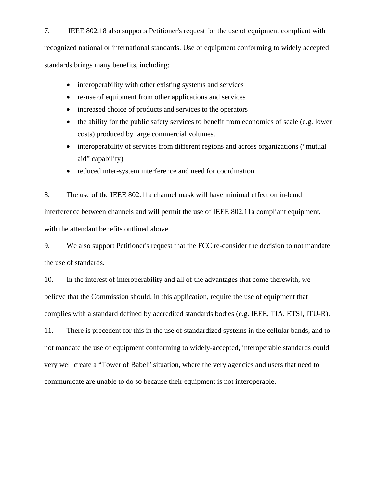7. IEEE 802.18 also supports Petitioner's request for the use of equipment compliant with recognized national or international standards. Use of equipment conforming to widely accepted standards brings many benefits, including:

- interoperability with other existing systems and services
- re-use of equipment from other applications and services
- increased choice of products and services to the operators
- the ability for the public safety services to benefit from economies of scale (e.g. lower costs) produced by large commercial volumes.
- interoperability of services from different regions and across organizations ("mutual aid" capability)
- reduced inter-system interference and need for coordination

8. The use of the IEEE 802.11a channel mask will have minimal effect on in-band interference between channels and will permit the use of IEEE 802.11a compliant equipment, with the attendant benefits outlined above.

9. We also support Petitioner's request that the FCC re-consider the decision to not mandate the use of standards.

10. In the interest of interoperability and all of the advantages that come therewith, we believe that the Commission should, in this application, require the use of equipment that complies with a standard defined by accredited standards bodies (e.g. IEEE, TIA, ETSI, ITU-R).

11. There is precedent for this in the use of standardized systems in the cellular bands, and to not mandate the use of equipment conforming to widely-accepted, interoperable standards could very well create a "Tower of Babel" situation, where the very agencies and users that need to communicate are unable to do so because their equipment is not interoperable.